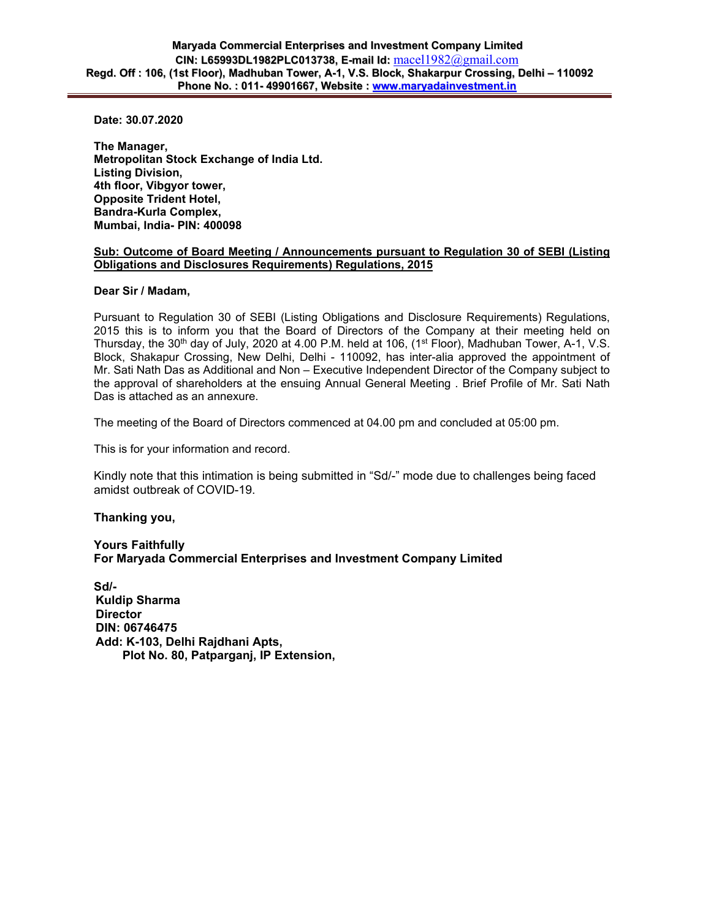**Date: 30.07.2020** 

**The Manager, Metropolitan Stock Exchange of India Ltd. Listing Division, 4th floor, Vibgyor tower, Opposite Trident Hotel, Bandra-Kurla Complex, Mumbai, India- PIN: 400098** 

## **Sub: Outcome of Board Meeting / Announcements pursuant to Regulation 30 of SEBI (Listing Obligations and Disclosures Requirements) Regulations, 2015**

## **Dear Sir / Madam,**

Pursuant to Regulation 30 of SEBI (Listing Obligations and Disclosure Requirements) Regulations, 2015 this is to inform you that the Board of Directors of the Company at their meeting held on Thursday, the 30<sup>th</sup> day of July, 2020 at 4.00 P.M. held at 106, (1<sup>st</sup> Floor), Madhuban Tower, A-1, V.S. Block, Shakapur Crossing, New Delhi, Delhi - 110092, has inter-alia approved the appointment of Mr. Sati Nath Das as Additional and Non – Executive Independent Director of the Company subject to the approval of shareholders at the ensuing Annual General Meeting . Brief Profile of Mr. Sati Nath Das is attached as an annexure.

The meeting of the Board of Directors commenced at 04.00 pm and concluded at 05:00 pm.

This is for your information and record.

Kindly note that this intimation is being submitted in "Sd/-" mode due to challenges being faced amidst outbreak of COVID-19.

## **Thanking you,**

**Yours Faithfully For Maryada Commercial Enterprises and Investment Company Limited** 

**Sd/- Kuldip Sharma Director DIN: 06746475 Add: K-103, Delhi Rajdhani Apts, Plot No. 80, Patparganj, IP Extension,**